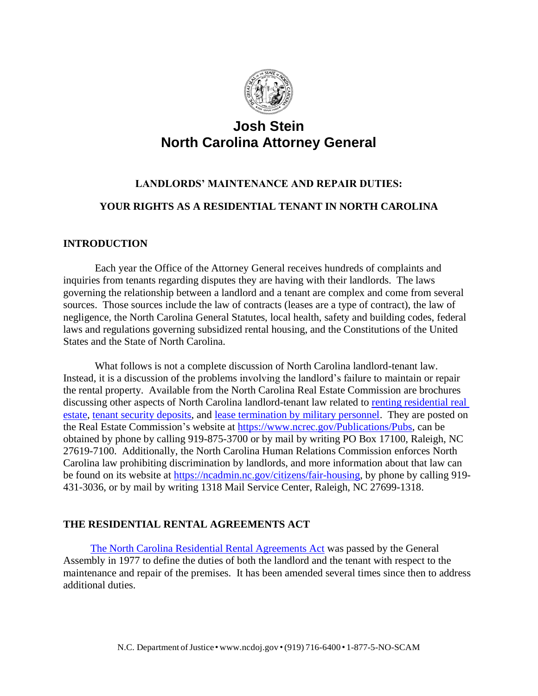

## **Josh Stein North Carolina Attorney General**

# **LANDLORDS' MAINTENANCE AND REPAIR DUTIES:**

## **YOUR RIGHTS AS A RESIDENTIAL TENANT IN NORTH CAROLINA**

## **INTRODUCTION**

Each year the Office of the Attorney General receives hundreds of complaints and inquiries from tenants regarding disputes they are having with their landlords. The laws governing the relationship between a landlord and a tenant are complex and come from several sources. Those sources include the law of contracts (leases are a type of contract), the law of negligence, the North Carolina General Statutes, local health, safety and building codes, federal laws and regulations governing subsidized rental housing, and the Constitutions of the United States and the State of North Carolina.

What follows is not a complete discussion of North Carolina landlord-tenant law. Instead, it is a discussion of the problems involving the landlord's failure to maintain or repair the rental property. Available from the North Carolina Real Estate Commission are brochures discussing other aspects of North Carolina landlord-tenant law related to [renting residential real](https://www.ncrec.gov/Brochures/Renting.pdf)  [estate,](https://www.ncrec.gov/Brochures/Renting.pdf) [tenant security deposits,](https://www.ncrec.gov/Brochures/TenantSecurity.pdf) and [lease termination by military personnel.](https://www.ncrec.gov/Brochures/MilitaryBrochure.pdf) They are posted on the Real Estate Commission's website at [https://www.ncrec.gov/Publications/Pubs,](https://www.ncrec.gov/Publications/Pubs) can be obtained by phone by calling 919-875-3700 or by mail by writing PO Box 17100, Raleigh, NC 27619-7100. Additionally, the North Carolina Human Relations Commission enforces North Carolina law prohibiting discrimination by landlords, and more information about that law can be found on its website at [https://ncadmin.nc.gov/citizens/fair-housing,](https://ncadmin.nc.gov/citizens/fair-housing) by phone by calling 919- 431-3036, or by mail by writing 1318 Mail Service Center, Raleigh, NC 27699-1318.

## **THE RESIDENTIAL RENTAL AGREEMENTS ACT**

[The North Carolina Residential Rental Agreements Act](https://www.ncleg.net/EnactedLegislation/Statutes/PDF/ByArticle/Chapter_42/Article_5.pdf) was passed by the General Assembly in 1977 to define the duties of both the landlord and the tenant with respect to the maintenance and repair of the premises. It has been amended several times since then to address additional duties.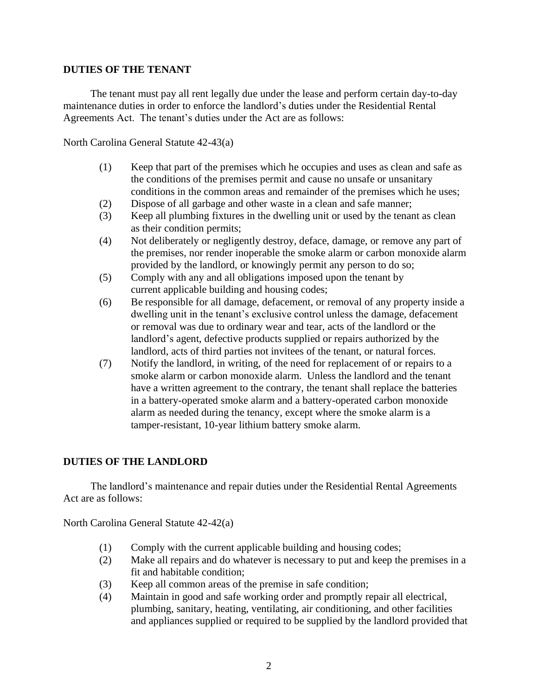## **DUTIES OF THE TENANT**

The tenant must pay all rent legally due under the lease and perform certain day-to-day maintenance duties in order to enforce the landlord's duties under the Residential Rental Agreements Act. The tenant's duties under the Act are as follows:

North Carolina General Statute 42-43(a)

- (1) Keep that part of the premises which he occupies and uses as clean and safe as the conditions of the premises permit and cause no unsafe or unsanitary conditions in the common areas and remainder of the premises which he uses;
- (2) Dispose of all garbage and other waste in a clean and safe manner;
- (3) Keep all plumbing fixtures in the dwelling unit or used by the tenant as clean as their condition permits;
- (4) Not deliberately or negligently destroy, deface, damage, or remove any part of the premises, nor render inoperable the smoke alarm or carbon monoxide alarm provided by the landlord, or knowingly permit any person to do so;
- (5) Comply with any and all obligations imposed upon the tenant by current applicable building and housing codes;
- (6) Be responsible for all damage, defacement, or removal of any property inside a dwelling unit in the tenant's exclusive control unless the damage, defacement or removal was due to ordinary wear and tear, acts of the landlord or the landlord's agent, defective products supplied or repairs authorized by the landlord, acts of third parties not invitees of the tenant, or natural forces.
- (7) Notify the landlord, in writing, of the need for replacement of or repairs to a smoke alarm or carbon monoxide alarm. Unless the landlord and the tenant have a written agreement to the contrary, the tenant shall replace the batteries in a battery-operated smoke alarm and a battery-operated carbon monoxide alarm as needed during the tenancy, except where the smoke alarm is a tamper-resistant, 10-year lithium battery smoke alarm.

## **DUTIES OF THE LANDLORD**

The landlord's maintenance and repair duties under the Residential Rental Agreements Act are as follows:

North Carolina General Statute 42-42(a)

- (1) Comply with the current applicable building and housing codes;
- (2) Make all repairs and do whatever is necessary to put and keep the premises in a fit and habitable condition;
- (3) Keep all common areas of the premise in safe condition;
- (4) Maintain in good and safe working order and promptly repair all electrical, plumbing, sanitary, heating, ventilating, air conditioning, and other facilities and appliances supplied or required to be supplied by the landlord provided that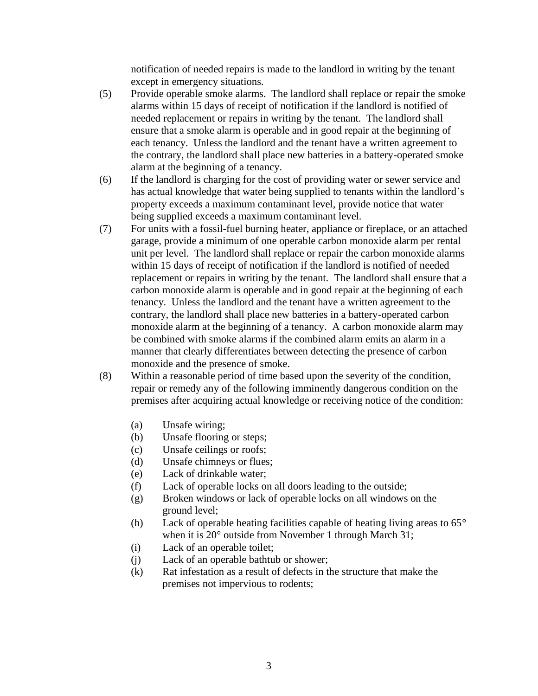notification of needed repairs is made to the landlord in writing by the tenant except in emergency situations.

- (5) Provide operable smoke alarms. The landlord shall replace or repair the smoke alarms within 15 days of receipt of notification if the landlord is notified of needed replacement or repairs in writing by the tenant. The landlord shall ensure that a smoke alarm is operable and in good repair at the beginning of each tenancy. Unless the landlord and the tenant have a written agreement to the contrary, the landlord shall place new batteries in a battery-operated smoke alarm at the beginning of a tenancy.
- (6) If the landlord is charging for the cost of providing water or sewer service and has actual knowledge that water being supplied to tenants within the landlord's property exceeds a maximum contaminant level, provide notice that water being supplied exceeds a maximum contaminant level.
- (7) For units with a fossil-fuel burning heater, appliance or fireplace, or an attached garage, provide a minimum of one operable carbon monoxide alarm per rental unit per level. The landlord shall replace or repair the carbon monoxide alarms within 15 days of receipt of notification if the landlord is notified of needed replacement or repairs in writing by the tenant. The landlord shall ensure that a carbon monoxide alarm is operable and in good repair at the beginning of each tenancy. Unless the landlord and the tenant have a written agreement to the contrary, the landlord shall place new batteries in a battery-operated carbon monoxide alarm at the beginning of a tenancy. A carbon monoxide alarm may be combined with smoke alarms if the combined alarm emits an alarm in a manner that clearly differentiates between detecting the presence of carbon monoxide and the presence of smoke.
- (8) Within a reasonable period of time based upon the severity of the condition, repair or remedy any of the following imminently dangerous condition on the premises after acquiring actual knowledge or receiving notice of the condition:
	- (a) Unsafe wiring;
	- (b) Unsafe flooring or steps;
	- (c) Unsafe ceilings or roofs;
	- (d) Unsafe chimneys or flues;
	- (e) Lack of drinkable water;
	- (f) Lack of operable locks on all doors leading to the outside;
	- (g) Broken windows or lack of operable locks on all windows on the ground level;
	- (h) Lack of operable heating facilities capable of heating living areas to  $65^{\circ}$ when it is 20° outside from November 1 through March 31;
	- (i) Lack of an operable toilet;
	- (j) Lack of an operable bathtub or shower;
	- (k) Rat infestation as a result of defects in the structure that make the premises not impervious to rodents;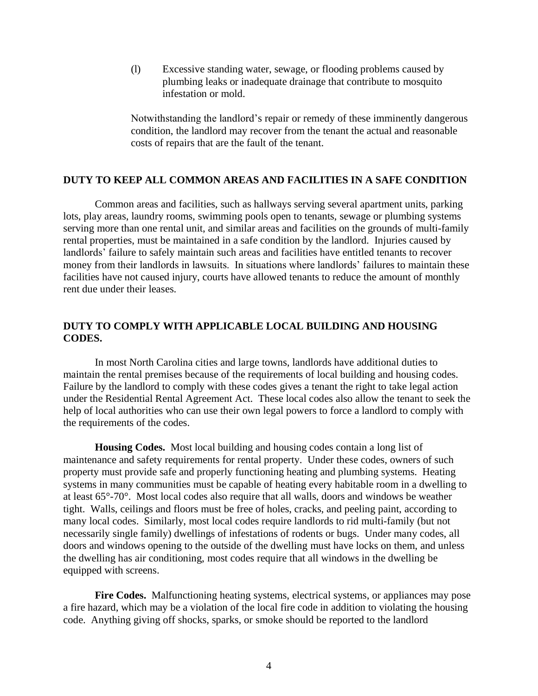(l) Excessive standing water, sewage, or flooding problems caused by plumbing leaks or inadequate drainage that contribute to mosquito infestation or mold.

Notwithstanding the landlord's repair or remedy of these imminently dangerous condition, the landlord may recover from the tenant the actual and reasonable costs of repairs that are the fault of the tenant.

#### **DUTY TO KEEP ALL COMMON AREAS AND FACILITIES IN A SAFE CONDITION**

Common areas and facilities, such as hallways serving several apartment units, parking lots, play areas, laundry rooms, swimming pools open to tenants, sewage or plumbing systems serving more than one rental unit, and similar areas and facilities on the grounds of multi-family rental properties, must be maintained in a safe condition by the landlord. Injuries caused by landlords' failure to safely maintain such areas and facilities have entitled tenants to recover money from their landlords in lawsuits. In situations where landlords' failures to maintain these facilities have not caused injury, courts have allowed tenants to reduce the amount of monthly rent due under their leases.

## **DUTY TO COMPLY WITH APPLICABLE LOCAL BUILDING AND HOUSING CODES.**

In most North Carolina cities and large towns, landlords have additional duties to maintain the rental premises because of the requirements of local building and housing codes. Failure by the landlord to comply with these codes gives a tenant the right to take legal action under the Residential Rental Agreement Act. These local codes also allow the tenant to seek the help of local authorities who can use their own legal powers to force a landlord to comply with the requirements of the codes.

**Housing Codes.** Most local building and housing codes contain a long list of maintenance and safety requirements for rental property. Under these codes, owners of such property must provide safe and properly functioning heating and plumbing systems. Heating systems in many communities must be capable of heating every habitable room in a dwelling to at least 65°-70°. Most local codes also require that all walls, doors and windows be weather tight. Walls, ceilings and floors must be free of holes, cracks, and peeling paint, according to many local codes. Similarly, most local codes require landlords to rid multi-family (but not necessarily single family) dwellings of infestations of rodents or bugs. Under many codes, all doors and windows opening to the outside of the dwelling must have locks on them, and unless the dwelling has air conditioning, most codes require that all windows in the dwelling be equipped with screens.

Fire Codes. Malfunctioning heating systems, electrical systems, or appliances may pose a fire hazard, which may be a violation of the local fire code in addition to violating the housing code. Anything giving off shocks, sparks, or smoke should be reported to the landlord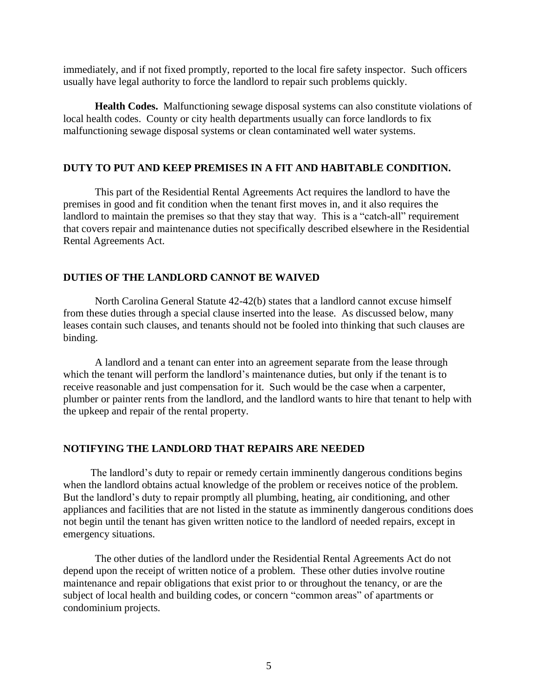immediately, and if not fixed promptly, reported to the local fire safety inspector. Such officers usually have legal authority to force the landlord to repair such problems quickly.

**Health Codes.** Malfunctioning sewage disposal systems can also constitute violations of local health codes. County or city health departments usually can force landlords to fix malfunctioning sewage disposal systems or clean contaminated well water systems.

#### **DUTY TO PUT AND KEEP PREMISES IN A FIT AND HABITABLE CONDITION.**

This part of the Residential Rental Agreements Act requires the landlord to have the premises in good and fit condition when the tenant first moves in, and it also requires the landlord to maintain the premises so that they stay that way. This is a "catch-all" requirement that covers repair and maintenance duties not specifically described elsewhere in the Residential Rental Agreements Act.

## **DUTIES OF THE LANDLORD CANNOT BE WAIVED**

North Carolina General Statute 42-42(b) states that a landlord cannot excuse himself from these duties through a special clause inserted into the lease. As discussed below, many leases contain such clauses, and tenants should not be fooled into thinking that such clauses are binding.

A landlord and a tenant can enter into an agreement separate from the lease through which the tenant will perform the landlord's maintenance duties, but only if the tenant is to receive reasonable and just compensation for it. Such would be the case when a carpenter, plumber or painter rents from the landlord, and the landlord wants to hire that tenant to help with the upkeep and repair of the rental property.

#### **NOTIFYING THE LANDLORD THAT REPAIRS ARE NEEDED**

The landlord's duty to repair or remedy certain imminently dangerous conditions begins when the landlord obtains actual knowledge of the problem or receives notice of the problem. But the landlord's duty to repair promptly all plumbing, heating, air conditioning, and other appliances and facilities that are not listed in the statute as imminently dangerous conditions does not begin until the tenant has given written notice to the landlord of needed repairs, except in emergency situations.

The other duties of the landlord under the Residential Rental Agreements Act do not depend upon the receipt of written notice of a problem. These other duties involve routine maintenance and repair obligations that exist prior to or throughout the tenancy, or are the subject of local health and building codes, or concern "common areas" of apartments or condominium projects.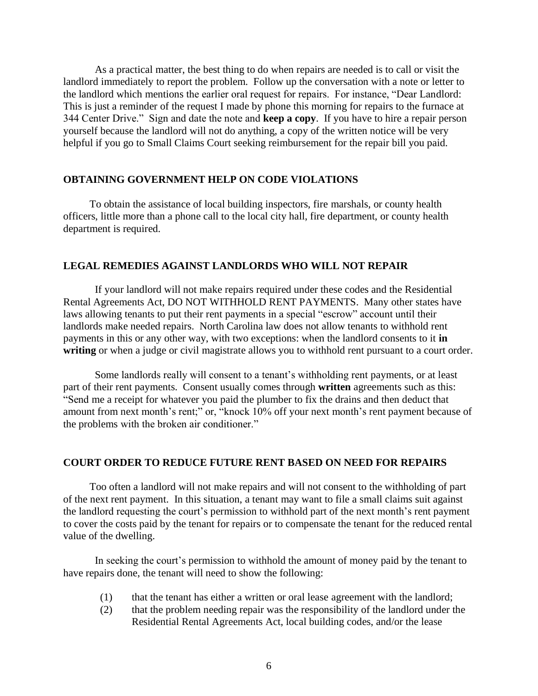As a practical matter, the best thing to do when repairs are needed is to call or visit the landlord immediately to report the problem. Follow up the conversation with a note or letter to the landlord which mentions the earlier oral request for repairs. For instance, "Dear Landlord: This is just a reminder of the request I made by phone this morning for repairs to the furnace at 344 Center Drive." Sign and date the note and **keep a copy**. If you have to hire a repair person yourself because the landlord will not do anything, a copy of the written notice will be very helpful if you go to Small Claims Court seeking reimbursement for the repair bill you paid.

#### **OBTAINING GOVERNMENT HELP ON CODE VIOLATIONS**

To obtain the assistance of local building inspectors, fire marshals, or county health officers, little more than a phone call to the local city hall, fire department, or county health department is required.

#### **LEGAL REMEDIES AGAINST LANDLORDS WHO WILL NOT REPAIR**

If your landlord will not make repairs required under these codes and the Residential Rental Agreements Act, DO NOT WITHHOLD RENT PAYMENTS. Many other states have laws allowing tenants to put their rent payments in a special "escrow" account until their landlords make needed repairs. North Carolina law does not allow tenants to withhold rent payments in this or any other way, with two exceptions: when the landlord consents to it **in writing** or when a judge or civil magistrate allows you to withhold rent pursuant to a court order.

Some landlords really will consent to a tenant's withholding rent payments, or at least part of their rent payments. Consent usually comes through **written** agreements such as this: "Send me a receipt for whatever you paid the plumber to fix the drains and then deduct that amount from next month's rent;" or, "knock 10% off your next month's rent payment because of the problems with the broken air conditioner."

#### **COURT ORDER TO REDUCE FUTURE RENT BASED ON NEED FOR REPAIRS**

Too often a landlord will not make repairs and will not consent to the withholding of part of the next rent payment. In this situation, a tenant may want to file a small claims suit against the landlord requesting the court's permission to withhold part of the next month's rent payment to cover the costs paid by the tenant for repairs or to compensate the tenant for the reduced rental value of the dwelling.

In seeking the court's permission to withhold the amount of money paid by the tenant to have repairs done, the tenant will need to show the following:

- (1) that the tenant has either a written or oral lease agreement with the landlord;
- (2) that the problem needing repair was the responsibility of the landlord under the Residential Rental Agreements Act, local building codes, and/or the lease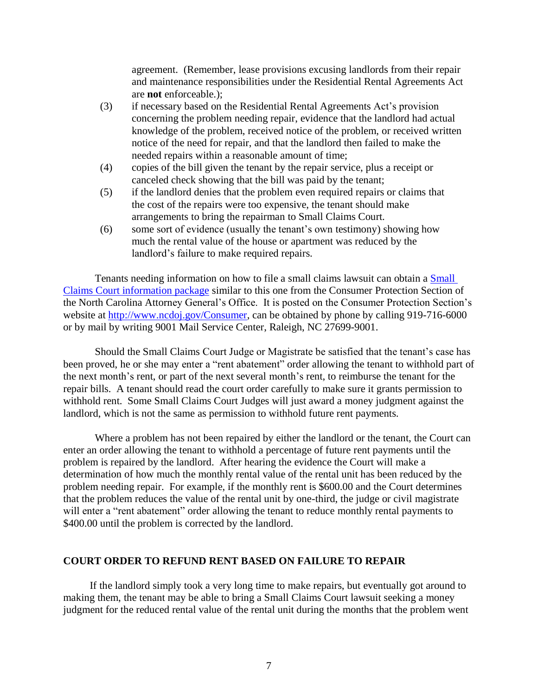agreement. (Remember, lease provisions excusing landlords from their repair and maintenance responsibilities under the Residential Rental Agreements Act are **not** enforceable.);

- (3) if necessary based on the Residential Rental Agreements Act's provision concerning the problem needing repair, evidence that the landlord had actual knowledge of the problem, received notice of the problem, or received written notice of the need for repair, and that the landlord then failed to make the needed repairs within a reasonable amount of time;
- (4) copies of the bill given the tenant by the repair service, plus a receipt or canceled check showing that the bill was paid by the tenant;
- (5) if the landlord denies that the problem even required repairs or claims that the cost of the repairs were too expensive, the tenant should make arrangements to bring the repairman to Small Claims Court.
- (6) some sort of evidence (usually the tenant's own testimony) showing how much the rental value of the house or apartment was reduced by the landlord's failure to make required repairs.

Tenants needing information on how to file a small claims lawsuit can obtain a [Small](http://www.ncdoj.gov/getdoc/906abea4-5cb8-4d71-b014-522fa8a27806/Citizens-Guide-to-Small-Claims-Court-Josh-Stein-1.aspx)  [Claims Court information package](http://www.ncdoj.gov/getdoc/906abea4-5cb8-4d71-b014-522fa8a27806/Citizens-Guide-to-Small-Claims-Court-Josh-Stein-1.aspx) similar to this one from the Consumer Protection Section of the North Carolina Attorney General's Office. It is posted on the Consumer Protection Section's website at [http://www.ncdoj.gov/Consumer,](http://www.ncdoj.gov/Consumer) can be obtained by phone by calling 919-716-6000 or by mail by writing 9001 Mail Service Center, Raleigh, NC 27699-9001.

Should the Small Claims Court Judge or Magistrate be satisfied that the tenant's case has been proved, he or she may enter a "rent abatement" order allowing the tenant to withhold part of the next month's rent, or part of the next several month's rent, to reimburse the tenant for the repair bills. A tenant should read the court order carefully to make sure it grants permission to withhold rent. Some Small Claims Court Judges will just award a money judgment against the landlord, which is not the same as permission to withhold future rent payments.

Where a problem has not been repaired by either the landlord or the tenant, the Court can enter an order allowing the tenant to withhold a percentage of future rent payments until the problem is repaired by the landlord. After hearing the evidence the Court will make a determination of how much the monthly rental value of the rental unit has been reduced by the problem needing repair. For example, if the monthly rent is \$600.00 and the Court determines that the problem reduces the value of the rental unit by one-third, the judge or civil magistrate will enter a "rent abatement" order allowing the tenant to reduce monthly rental payments to \$400.00 until the problem is corrected by the landlord.

## **COURT ORDER TO REFUND RENT BASED ON FAILURE TO REPAIR**

If the landlord simply took a very long time to make repairs, but eventually got around to making them, the tenant may be able to bring a Small Claims Court lawsuit seeking a money judgment for the reduced rental value of the rental unit during the months that the problem went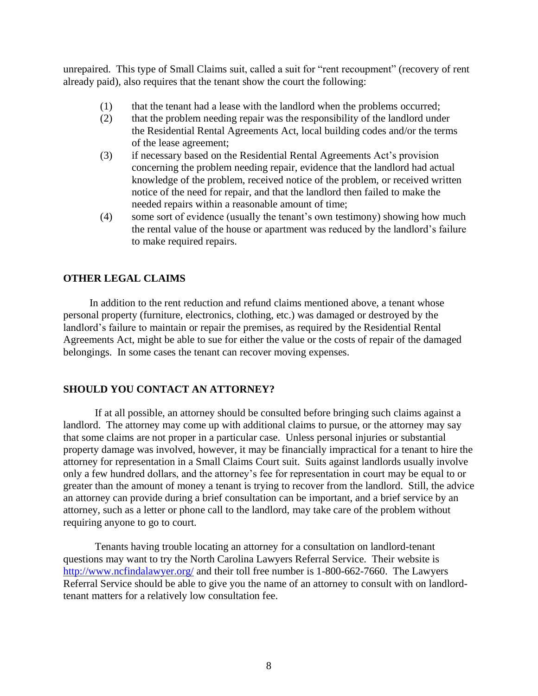unrepaired. This type of Small Claims suit, called a suit for "rent recoupment" (recovery of rent already paid), also requires that the tenant show the court the following:

- (1) that the tenant had a lease with the landlord when the problems occurred;
- (2) that the problem needing repair was the responsibility of the landlord under the Residential Rental Agreements Act, local building codes and/or the terms of the lease agreement;
- (3) if necessary based on the Residential Rental Agreements Act's provision concerning the problem needing repair, evidence that the landlord had actual knowledge of the problem, received notice of the problem, or received written notice of the need for repair, and that the landlord then failed to make the needed repairs within a reasonable amount of time;
- (4) some sort of evidence (usually the tenant's own testimony) showing how much the rental value of the house or apartment was reduced by the landlord's failure to make required repairs.

## **OTHER LEGAL CLAIMS**

In addition to the rent reduction and refund claims mentioned above, a tenant whose personal property (furniture, electronics, clothing, etc.) was damaged or destroyed by the landlord's failure to maintain or repair the premises, as required by the Residential Rental Agreements Act, might be able to sue for either the value or the costs of repair of the damaged belongings. In some cases the tenant can recover moving expenses.

## **SHOULD YOU CONTACT AN ATTORNEY?**

If at all possible, an attorney should be consulted before bringing such claims against a landlord. The attorney may come up with additional claims to pursue, or the attorney may say that some claims are not proper in a particular case. Unless personal injuries or substantial property damage was involved, however, it may be financially impractical for a tenant to hire the attorney for representation in a Small Claims Court suit. Suits against landlords usually involve only a few hundred dollars, and the attorney's fee for representation in court may be equal to or greater than the amount of money a tenant is trying to recover from the landlord. Still, the advice an attorney can provide during a brief consultation can be important, and a brief service by an attorney, such as a letter or phone call to the landlord, may take care of the problem without requiring anyone to go to court.

Tenants having trouble locating an attorney for a consultation on landlord-tenant questions may want to try the North Carolina Lawyers Referral Service. Their website is <http://www.ncfindalawyer.org/> and their toll free number is 1-800-662-7660. The Lawyers Referral Service should be able to give you the name of an attorney to consult with on landlordtenant matters for a relatively low consultation fee.